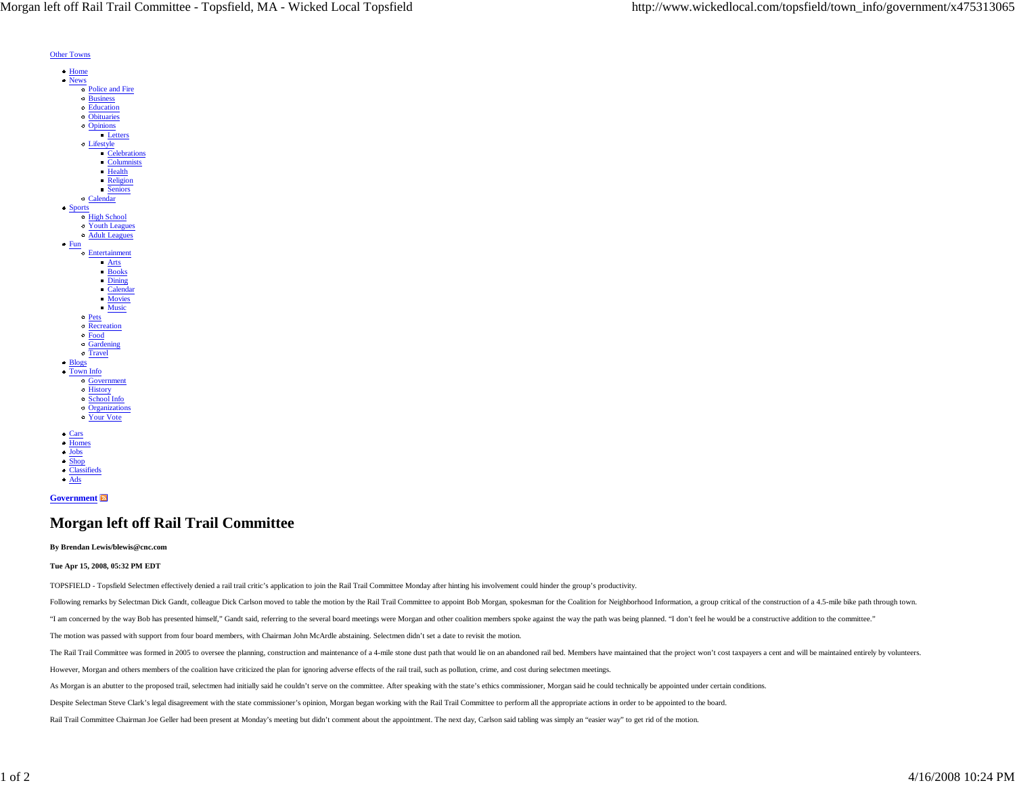

Other Towns

## **Government**

## **Morgan left off Rail Trail Committee**

## **By Brendan Lewis/blewis@cnc.com**

## **Tue Apr 15, 2008, 05:32 PM EDT**

TOPSFIELD - Topsfield Selectmen effectively denied a rail trail critic's application to join the Rail Trail Committee Monday after hinting his involvement could hinder the group's productivity.

Following remarks by Selectman Dick Gandt, colleague Dick Carlson moved to table the motion by the Rail Trail Committee to appoint Bob Morgan, spokesman for the Coalition for Neighborhood Information, a group critical of t

"I am concerned by the way Bob has presented himself," Gandt said, referring to the several board meetings were Morgan and other coalition members spoke against the way the path was being planned. "I don't feel he would be

The motion was passed with support from four board members, with Chairman John McArdle abstaining. Selectmen didn't set a date to revisit the motion.

The Rail Trail Committee was formed in 2005 to oversee the planning, construction and maintenance of a 4-mile stone dust path that would lie on an abandoned rail bed. Members have maintained that the project won't cost tax

However, Morgan and others members of the coalition have criticized the plan for ignoring adverse effects of the rail trail, such as pollution, crime, and cost during selectmen meetings.

As Morgan is an abutter to the proposed trail, selectmen had initially said he couldn't serve on the committee. After speaking with the state's ethics commissioner, Morgan said he could technically be appointed under certa

Despite Selectman Steve Clark's legal disagreement with the state commissioner's opinion, Morgan began working with the Rail Trail Committee to perform all the appropriate actions in order to be appointed to the board.

Rail Trail Committee Chairman Joe Geller had been present at Monday's meeting but didn't comment about the appointment. The next day, Carlson said tabling was simply an "easier way" to get rid of the motion.